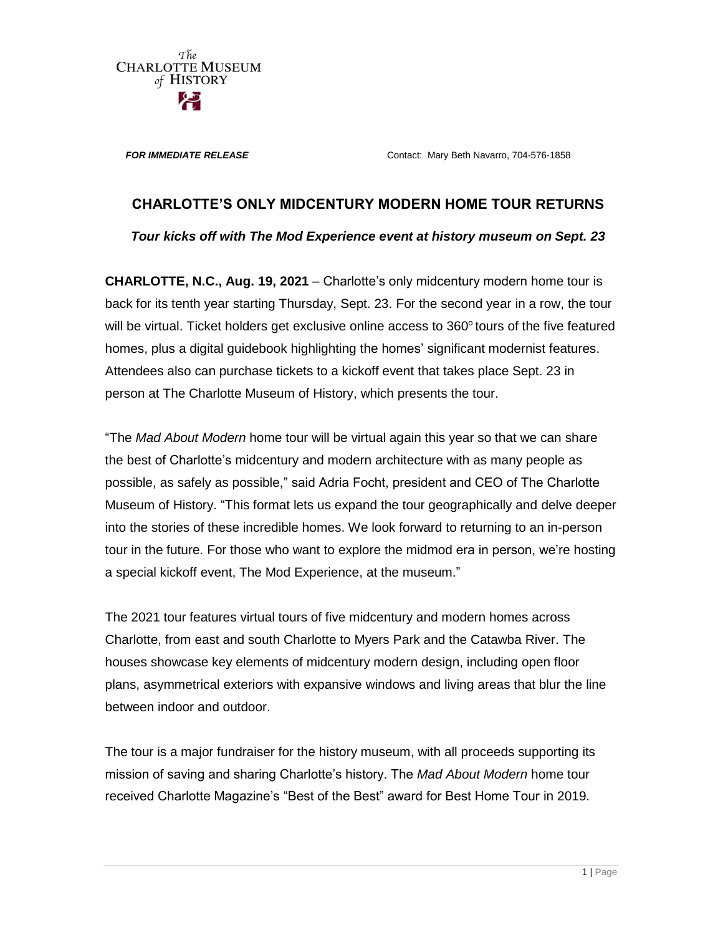**FOR IMMEDIATE RELEASE Contact: Mary Beth Navarro, 704-576-1858** 

## **CHARLOTTE'S ONLY MIDCENTURY MODERN HOME TOUR RETURNS**

*Tour kicks off with The Mod Experience event at history museum on Sept. 23*

**CHARLOTTE, N.C., Aug. 19, 2021** – Charlotte's only midcentury modern home tour is back for its tenth year starting Thursday, Sept. 23. For the second year in a row, the tour will be virtual. Ticket holders get exclusive online access to  $360^\circ$  tours of the five featured homes, plus a digital guidebook highlighting the homes' significant modernist features. Attendees also can purchase tickets to a kickoff event that takes place Sept. 23 in person at The Charlotte Museum of History, which presents the tour.

"The *Mad About Modern* home tour will be virtual again this year so that we can share the best of Charlotte's midcentury and modern architecture with as many people as possible, as safely as possible," said Adria Focht, president and CEO of The Charlotte Museum of History. "This format lets us expand the tour geographically and delve deeper into the stories of these incredible homes. We look forward to returning to an in-person tour in the future. For those who want to explore the midmod era in person, we're hosting a special kickoff event, The Mod Experience, at the museum."

The 2021 tour features virtual tours of five midcentury and modern homes across Charlotte, from east and south Charlotte to Myers Park and the Catawba River. The houses showcase key elements of midcentury modern design, including open floor plans, asymmetrical exteriors with expansive windows and living areas that blur the line between indoor and outdoor.

The tour is a major fundraiser for the history museum, with all proceeds supporting its mission of saving and sharing Charlotte's history. The *Mad About Modern* home tour received Charlotte Magazine's "Best of the Best" award for Best Home Tour in 2019.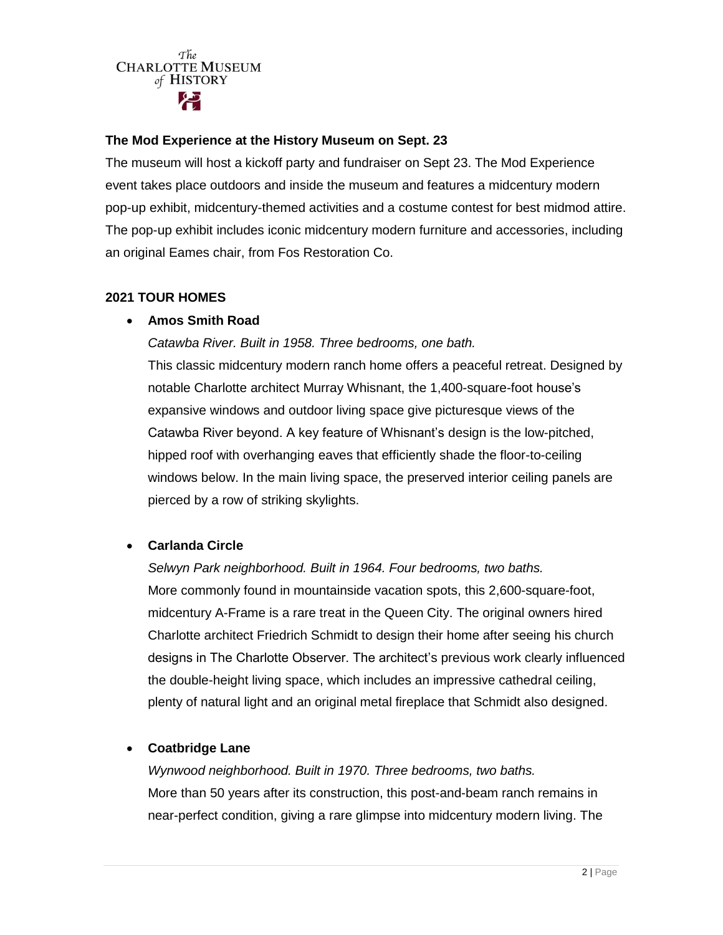## **The Mod Experience at the History Museum on Sept. 23**

The museum will host a kickoff party and fundraiser on Sept 23. The Mod Experience event takes place outdoors and inside the museum and features a midcentury modern pop-up exhibit, midcentury-themed activities and a costume contest for best midmod attire. The pop-up exhibit includes iconic midcentury modern furniture and accessories, including an original Eames chair, from Fos Restoration Co.

## **2021 TOUR HOMES**

## **Amos Smith Road**

*Catawba River. Built in 1958. Three bedrooms, one bath.* This classic midcentury modern ranch home offers a peaceful retreat. Designed by notable Charlotte architect Murray Whisnant, the 1,400-square-foot house's expansive windows and outdoor living space give picturesque views of the Catawba River beyond. A key feature of Whisnant's design is the low-pitched, hipped roof with overhanging eaves that efficiently shade the floor-to-ceiling windows below. In the main living space, the preserved interior ceiling panels are pierced by a row of striking skylights.

## **Carlanda Circle**

*Selwyn Park neighborhood. Built in 1964. Four bedrooms, two baths.*  More commonly found in mountainside vacation spots, this 2,600-square-foot, midcentury A-Frame is a rare treat in the Queen City. The original owners hired Charlotte architect Friedrich Schmidt to design their home after seeing his church designs in The Charlotte Observer. The architect's previous work clearly influenced the double-height living space, which includes an impressive cathedral ceiling, plenty of natural light and an original metal fireplace that Schmidt also designed.

## **Coatbridge Lane**

*Wynwood neighborhood. Built in 1970. Three bedrooms, two baths.* More than 50 years after its construction, this post-and-beam ranch remains in near-perfect condition, giving a rare glimpse into midcentury modern living. The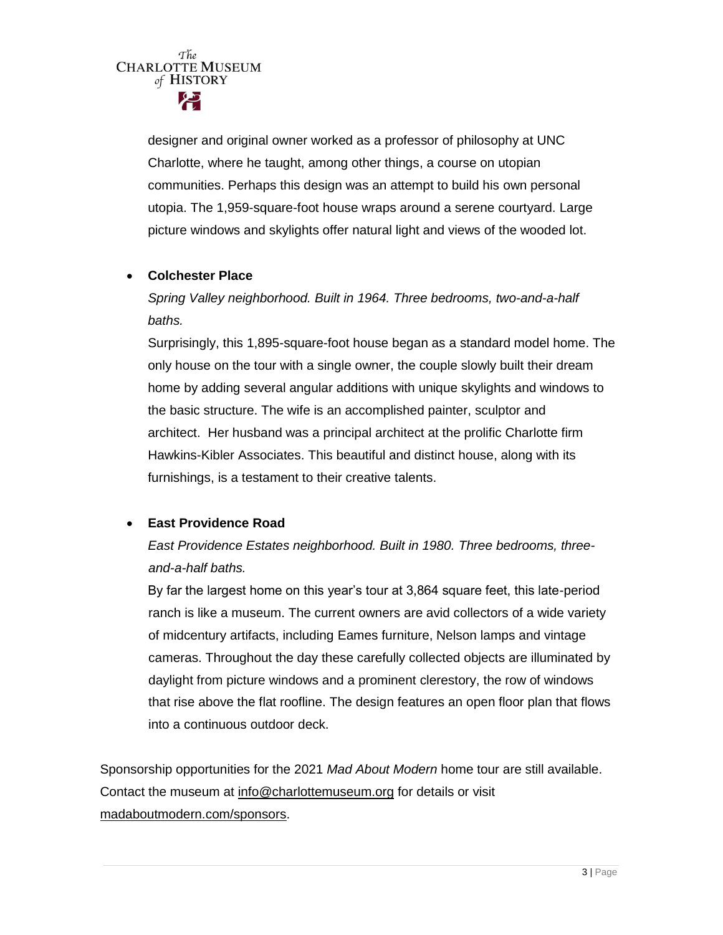> designer and original owner worked as a professor of philosophy at UNC Charlotte, where he taught, among other things, a course on utopian communities. Perhaps this design was an attempt to build his own personal utopia. The 1,959-square-foot house wraps around a serene courtyard. Large picture windows and skylights offer natural light and views of the wooded lot.

### **Colchester Place**

*Spring Valley neighborhood. Built in 1964. Three bedrooms, two-and-a-half baths.*

Surprisingly, this 1,895-square-foot house began as a standard model home. The only house on the tour with a single owner, the couple slowly built their dream home by adding several angular additions with unique skylights and windows to the basic structure. The wife is an accomplished painter, sculptor and architect. Her husband was a principal architect at the prolific Charlotte firm Hawkins-Kibler Associates. This beautiful and distinct house, along with its furnishings, is a testament to their creative talents.

## **East Providence Road**

*East Providence Estates neighborhood. Built in 1980. Three bedrooms, threeand-a-half baths.*

By far the largest home on this year's tour at 3,864 square feet, this late-period ranch is like a museum. The current owners are avid collectors of a wide variety of midcentury artifacts, including Eames furniture, Nelson lamps and vintage cameras. Throughout the day these carefully collected objects are illuminated by daylight from picture windows and a prominent clerestory, the row of windows that rise above the flat roofline. The design features an open floor plan that flows into a continuous outdoor deck.

Sponsorship opportunities for the 2021 *Mad About Modern* home tour are still available. Contact the museum at [info@charlottemuseum.org](mailto:info@charlottemuseum.org) for details or visit [madaboutmodern.com/sponsors.](https://www.madaboutmodern.com/sponsors)